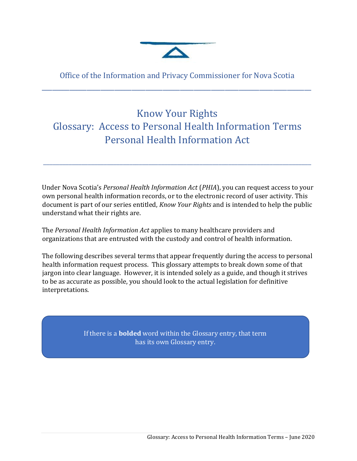

Office of the Information and Privacy Commissioner for Nova Scotia \_\_\_\_\_\_\_\_\_\_\_\_\_\_\_\_\_\_\_\_\_\_\_\_\_\_\_\_\_\_\_\_\_\_\_\_\_\_\_\_\_\_\_\_\_\_\_\_\_\_\_\_\_\_\_\_\_\_\_\_\_\_\_\_\_\_\_\_\_\_\_\_\_\_\_\_\_\_

## Know Your Rights Glossary: Access to Personal Health Information Terms Personal Health Information Act

\_\_\_\_\_\_\_\_\_\_\_\_\_\_\_\_\_\_\_\_\_\_\_\_\_\_\_\_\_\_\_\_\_\_\_\_\_\_\_\_\_\_\_\_\_\_\_\_\_\_\_\_\_\_\_\_\_\_\_\_\_\_\_\_\_\_\_\_\_\_\_\_\_\_\_\_\_\_\_\_\_\_\_\_

Under Nova Scotia's *Personal Health Information Act* (*PHIA*), you can request access to your own personal health information records, or to the electronic record of user activity. This document is part of our series entitled, *Know Your Rights* and is intended to help the public understand what their rights are.

The *Personal Health Information Act* applies to many healthcare providers and organizations that are entrusted with the custody and control of health information.

The following describes several terms that appear frequently during the access to personal health information request process. This glossary attempts to break down some of that jargon into clear language. However, it is intended solely as a guide, and though it strives to be as accurate as possible, you should look to the actual legislation for definitive interpretations.

> If there is a **bolded** word within the Glossary entry, that term has its own Glossary entry.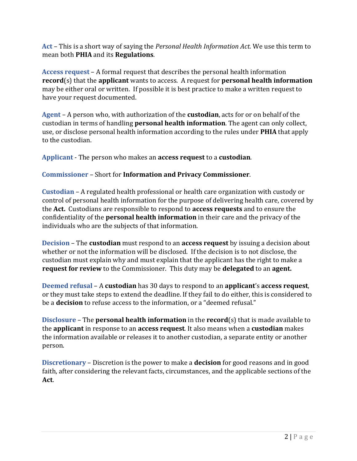**Act** – This is a short way of saying the *Personal Health Information Act.* We use this term to mean both **PHIA** and its **Regulations**.

**Access request** – A formal request that describes the personal health information **record**(s) that the **applicant** wants to access. A request for **personal health information** may be either oral or written. If possible it is best practice to make a written request to have your request documented.

**Agent** – A person who, with authorization of the **custodian**, acts for or on behalf of the custodian in terms of handling **personal health information**. The agent can only collect, use, or disclose personal health information according to the rules under **PHIA** that apply to the custodian.

**Applicant** - The person who makes an **access request** to a **custodian**.

## **Commissioner** – Short for **Information and Privacy Commissioner**.

**Custodian** – A regulated health professional or health care organization with custody or control of personal health information for the purpose of delivering health care, covered by the **Act.** Custodians are responsible to respond to **access requests** and to ensure the confidentiality of the **personal health information** in their care and the privacy of the individuals who are the subjects of that information.

**Decision** – The **custodian** must respond to an **access request** by issuing a decision about whether or not the information will be disclosed. If the decision is to not disclose, the custodian must explain why and must explain that the applicant has the right to make a **request for review** to the Commissioner. This duty may be **delegated** to an **agent.**

**Deemed refusal** – A **custodian** has 30 days to respond to an **applicant**'s **access request**, or they must take steps to extend the deadline. If they fail to do either, this is considered to be a **decision** to refuse access to the information, or a "deemed refusal."

**Disclosure** – The **personal health information** in the **record**(s) that is made available to the **applicant** in response to an **access request**. It also means when a **custodian** makes the information available or releases it to another custodian, a separate entity or another person.

**Discretionary** – Discretion is the power to make a **decision** for good reasons and in good faith, after considering the relevant facts, circumstances, and the applicable sections of the **Act**.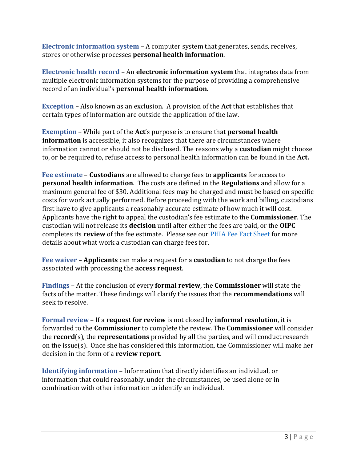**Electronic information system** – A computer system that generates, sends, receives, stores or otherwise processes **personal health information**.

**Electronic health record** – An **electronic information system** that integrates data from multiple electronic information systems for the purpose of providing a comprehensive record of an individual's **personal health information**.

**Exception** – Also known as an exclusion. A provision of the **Act** that establishes that certain types of information are outside the application of the law.

**Exemption** – While part of the **Act**'s purpose is to ensure that **personal health information** is accessible, it also recognizes that there are circumstances where information cannot or should not be disclosed. The reasons why a **custodian** might choose to, or be required to, refuse access to personal health information can be found in the **Act.**

**Fee estimate** – **Custodians** are allowed to charge fees to **applicants** for access to **personal health information**. The costs are defined in the **Regulations** and allow for a maximum general fee of \$30. Additional fees may be charged and must be based on specific costs for work actually performed. Before proceeding with the work and billing, custodians first have to give applicants a reasonably accurate estimate of how much it will cost. Applicants have the right to appeal the custodian's fee estimate to the **Commissioner**. The custodian will not release its **decision** until after either the fees are paid, or the **OIPC** completes its **review** of the fee estimate. Please see our PHIA Fee [Fact Sheet](https://oipc.novascotia.ca/sites/default/files/publications/15-00084%20%20PHIA%20fees%20fact%20sheet%20%2815%20Oct%2015%29.pdf) for more details about what work a custodian can charge fees for.

**Fee waiver** – **Applicants** can make a request for a **custodian** to not charge the fees associated with processing the **access request**.

**Findings** – At the conclusion of every **formal review**, the **Commissioner** will state the facts of the matter. These findings will clarify the issues that the **recommendations** will seek to resolve.

**Formal review** – If a **request for review** is not closed by **informal resolution**, it is forwarded to the **Commissioner** to complete the review. The **Commissioner** will consider the **record**(s), the **representations** provided by all the parties, and will conduct research on the issue(s). Once she has considered this information, the Commissioner will make her decision in the form of a **review report**.

**Identifying information** – Information that directly identifies an individual, or information that could reasonably, under the circumstances, be used alone or in combination with other information to identify an individual.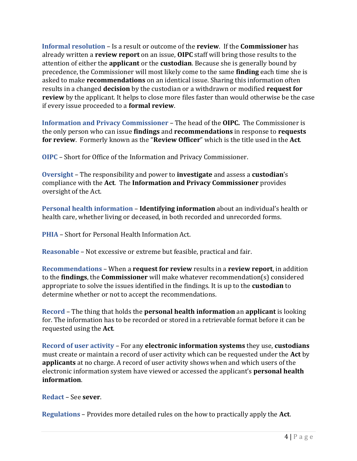**Informal resolution** – Is a result or outcome of the **review**. If the **Commissioner** has already written a **review report** on an issue, **OIPC** staff will bring those results to the attention of either the **applicant** or the **custodian**. Because she is generally bound by precedence, the Commissioner will most likely come to the same **finding** each time she is asked to make **recommendations** on an identical issue. Sharing this information often results in a changed **decision** by the custodian or a withdrawn or modified **request for review** by the applicant. It helps to close more files faster than would otherwise be the case if every issue proceeded to a **formal review**.

**Information and Privacy Commissioner** – The head of the **OIPC.** The Commissioner is the only person who can issue **findings** and **recommendations** in response to **requests for review**. Formerly known as the "**Review Officer**" which is the title used in the **Act**.

**OIPC** – Short for Office of the Information and Privacy Commissioner.

**Oversight** – The responsibility and power to **investigate** and assess a **custodian**'s compliance with the **Act**. The **Information and Privacy Commissioner** provides oversight of the Act.

**Personal health information** – **Identifying information** about an individual's health or health care, whether living or deceased, in both recorded and unrecorded forms.

**PHIA** – Short for Personal Health Information Act.

**Reasonable** – Not excessive or extreme but feasible, practical and fair.

**Recommendations** – When a **request for review** results in a **review report**, in addition to the **findings**, the **Commissioner** will make whatever recommendation(s) considered appropriate to solve the issues identified in the findings. It is up to the **custodian** to determine whether or not to accept the recommendations.

**Record** – The thing that holds the **personal health information** an **applicant** is looking for. The information has to be recorded or stored in a retrievable format before it can be requested using the **Act**.

**Record of user activity** – For any **electronic information systems** they use, **custodians**  must create or maintain a record of user activity which can be requested under the **Act** by **applicants** at no charge. A record of user activity shows when and which users of the electronic information system have viewed or accessed the applicant's **personal health information**.

**Redact** – See **sever**.

**Regulations** – Provides more detailed rules on the how to practically apply the **Act**.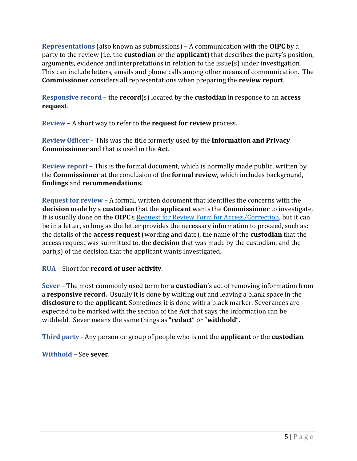**Representations** (also known as submissions) – A communication with the **OIPC** by a party to the review (i.e. the **custodian** or the **applicant**) that describes the party's position, arguments, evidence and interpretations in relation to the issue(s) under investigation. This can include letters, emails and phone calls among other means of communication. The **Commissioner** considers all representations when preparing the **review report**.

**Responsive record** – the **record**(s) located by the **custodian** in response to an **access request**.

**Review** – A short way to refer to the **request for review** process.

**Review Officer** – This was the title formerly used by the **Information and Privacy Commissioner** and that is used in the **Act**.

**Review report** – This is the formal document, which is normally made public, written by the **Commissioner** at the conclusion of the **formal review**, which includes background, **findings** and **recommendations**.

**Request for review** – A formal, written document that identifies the concerns with the **decision** made by a **custodian** that the **applicant** wants the **Commissioner** to investigate. It is usually done on the **OIPC**'s [Request for Review Form for Access/Correction,](https://oipc.novascotia.ca/sites/default/files/forms/2016%20%2008%2031%20PHIA%20Request%20for%20Review%20Form%20for%20Access_Correction%20.pdf) but it can be in a letter, so long as the letter provides the necessary information to proceed, such as: the details of the **access request** (wording and date), the name of the **custodian** that the access request was submitted to, the **decision** that was made by the custodian, and the part(s) of the decision that the applicant wants investigated.

**RUA** – Short for **record of user activity**.

**Sever –** The most commonly used term for a **custodian**'s act of removing information from a **responsive record.** Usually it is done by whiting out and leaving a blank space in the **disclosure** to the **applicant**. Sometimes it is done with a black marker. Severances are expected to be marked with the section of the **Act** that says the information can be withheld. Sever means the same things as "**redact**" or "**withhold**".

**Third party** - Any person or group of people who is not the **applicant** or the **custodian**.

**Withhold** – See **sever**.